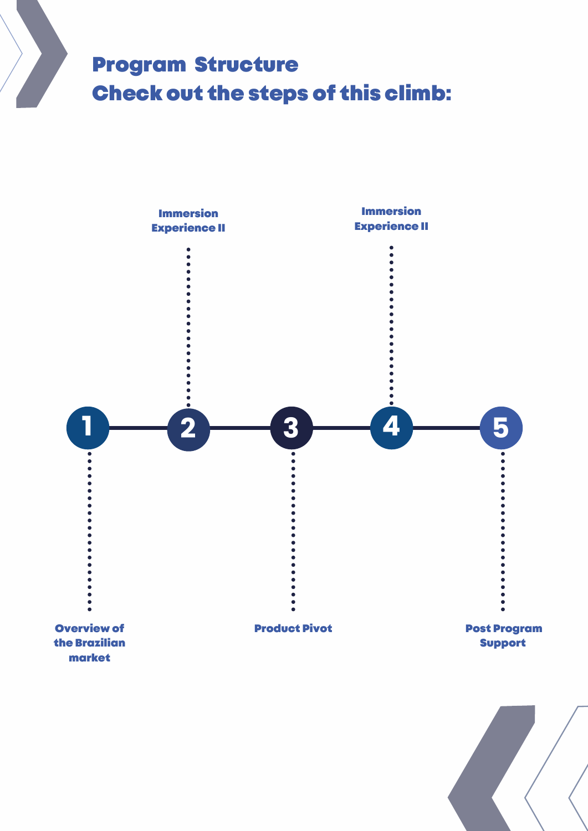# Program Structure Check out the steps of this climb:



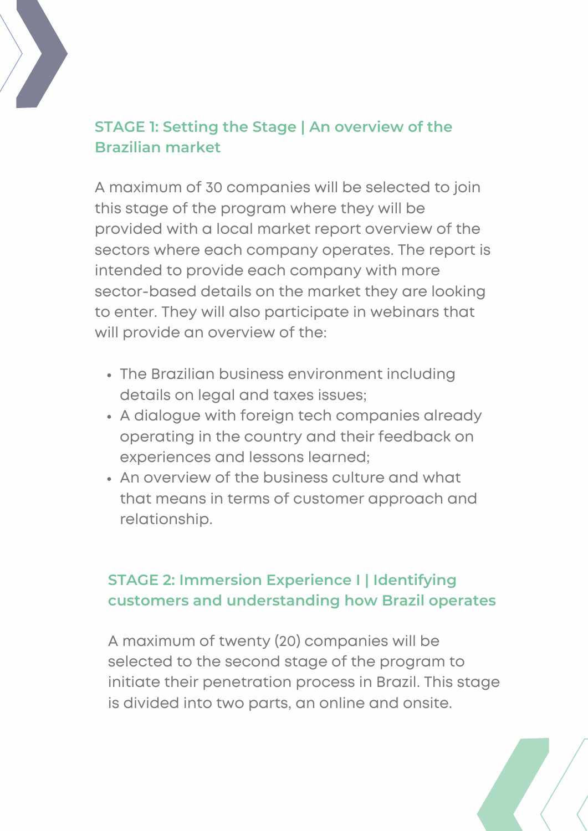

## **STAGE 1: Setting the Stage | An overview of the Brazilian market**

A maximum of 30 companies will be selected to join this stage of the program where they will be provided with a local market report overview of the sectors where each company operates. The report is intended to provide each company with more sector-based details on the market they are looking to enter. They will also participate in webinars that will provide an overview of the:

- The Brazilian business environment including details on legal and taxes issues;
- A dialogue with foreign tech companies already operating in the country and their feedback on experiences and lessons learned;
- An overview of the business culture and what that means in terms of customer approach and relationship.

### **STAGE 2: Immersion Experience I | Identifying customers and understanding how Brazil operates**

A maximum of twenty (20) companies will be selected to the second stage of the program to initiate their penetration process in Brazil. This stage is divided into two parts, an online and onsite.

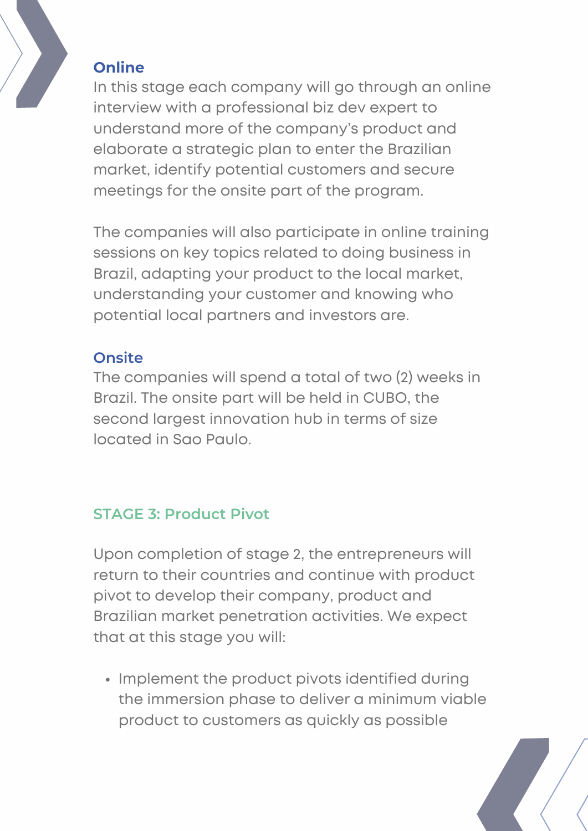

#### **Online**

In this stage each company will go through an online interview with a professional biz dev expert to understand more of the company's product and elaborate a strategic plan to enter the Brazilian market, identify potential customers and secure meetings for the onsite part of the program.

The companies will also participate in online training sessions on key topics related to doing business in Brazil, adapting your product to the local market, understanding your customer and knowing who potential local partners and investors are.

#### **Onsite**

The companies will spend a total of two (2) weeks in Brazil. The onsite part will be held in CUBO, the second largest innovation hub in terms of size located in Sao Paulo.

#### **STAGE 3: Product Pivot**

Upon completion of stage 2, the entrepreneurs will return to their countries and continue with product pivot to develop their company, product and Brazilian market penetration activities. We expect that at this stage you will:

• Implement the product pivots identified during the immersion phase to deliver a minimum viable product to customers as quickly as possible